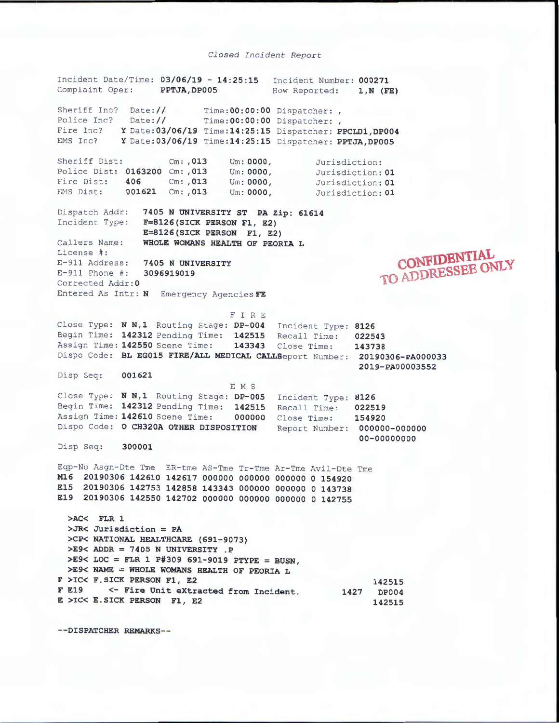## *Closed Incident Report*

Incident Date /Ti me : **03/06/19** - **14:25 : 15**  Incident Number: **000271**  Complaint Oper: **PPTJA,DP005**  Sheriff Inc? Police Inc? Fire Inc? **Y** Date: **03/06/19 Time :14:25:15**  Dispatcher: **PPCLD1 , DP004**  EMS Inc? **Y** Date : **03/06/19 Time :14:25:15**  Dispatcher: **PPTJA,DP005**  Date: // Date:// **Time :00:00:00 Ti me :00:00:00**  Sheriff Dist: Cm: **,013** Um: **0000,**  Police Dist: **0163200** Cm : **,013** Um : **0000,**  Fire Dist : **406** Cm : **,013** Um : **0000,**  EMS Dist: 001621 Cm: , 013 Um: 0000, How Reported: 1, N (FE) Dispatcher:, Dispatcher:, Jurisdiction: Jurisdiction : **01**  Jurisdiction: **01**  Jurisdiction : **01**  Dispatch Addr: **7405 N UNIVERSITY ST PA Zip: 61614**  Incident Type: **F=8126(SICK PERSON Fl, E2) E=8126(SICK PERSON Fl, E2)**  Ca llers Name: **WHOLE WOMANS HEALTH OF PEORIA L**  License #: E-911 Address: **7405 N UNIVERSITY** E-911 Phone #: **3096919019** Corrected Addr: 0 Entered As Intr: **N** Emergency Agencies **FE**  F I R E **<sup>c</sup> oNFIDBNTIAL**  1'0 **ADDRESSEE ONLY**  Close Type: **N N,1** Routing Stage : **DP-004** Incident Type: **8126**  Begin Time: **142312** Pen ding Time : **142515** Recall Time : **022543**  Assign Time : **142550** Scene Time: **143343** Close Time: **143738**  Dispo Code : **BL EG015 FIRE/ALL MEDICAL** CALLSeport Number: **20190306-PA000033 2019-PA00003552**  Disp Seq: 001621 E M S Close Type: N N,1 Routing Stage: DP-005 Incident Type: 8126 Begin Time: **142312** Pending Time: **142515**  Recall Time : **022519**  Assign Time: **142610** Scene Time: **000000**  Close Time: **154920**  Dispo Code: **0 CH320A OTHER DISPOSITION** Report Number: 000000-000000 **00-00000000**  Disp Seq : **300001**  Eqp-No Asgn- Dte Tme ER- tme AS - Tme Tr-Tme Ar- Tme Avil-Dte Tme **Ml6 20190306 142610 142617 000000 000000 000000 0 154920 E15 20190306 142753 142858 143343 000000 000000 0 143738 E19 20190306 142550 142702 000000 000000 000000 0 142755**  >AC< FLR 1 >JR< Jurisdiction= PA >CP< NATIONAL HEALTHCARE (691-9073) >E9< ADDR = 7405 N UNIVERSITY . P >E9< LOC = FLR 1 P#309 691-9019 PTYPE = BUSN, >E9< NAME= WHOLE WOMANS HEALTH OF PEORIA L F >IC< F.SICK PERSON Fl, E2 142515 F E19 <- Fire Unit extracted from Incident. 1427 DP004 E >IC< E.SICK PERSON Fl, E2 142515

--DISPATCHER REMARKS--